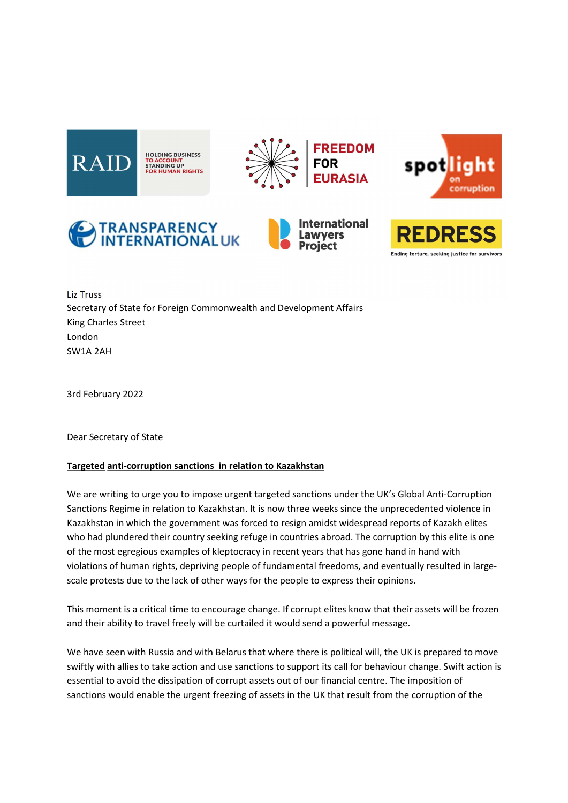











Secretary of State for Foreign Commonwealth and Development Affairs King Charles Street London SW1A 2AH

3rd February 2022

Dear Secretary of State

## Targeted anti-corruption sanctions in relation to Kazakhstan

We are writing to urge you to impose urgent targeted sanctions under the UK's Global Anti-Corruption Sanctions Regime in relation to Kazakhstan. It is now three weeks since the unprecedented violence in Kazakhstan in which the government was forced to resign amidst widespread reports of Kazakh elites who had plundered their country seeking refuge in countries abroad. The corruption by this elite is one of the most egregious examples of kleptocracy in recent years that has gone hand in hand with violations of human rights, depriving people of fundamental freedoms, and eventually resulted in largescale protests due to the lack of other ways for the people to express their opinions.

 This moment is a critical time to encourage change. If corrupt elites know that their assets will be frozen and their ability to travel freely will be curtailed it would send a powerful message.

 We have seen with Russia and with Belarus that where there is political will, the UK is prepared to move swiftly with allies to take action and use sanctions to support its call for behaviour change. Swift action is essential to avoid the dissipation of corrupt assets out of our financial centre. The imposition of sanctions would enable the urgent freezing of assets in the UK that result from the corruption of the